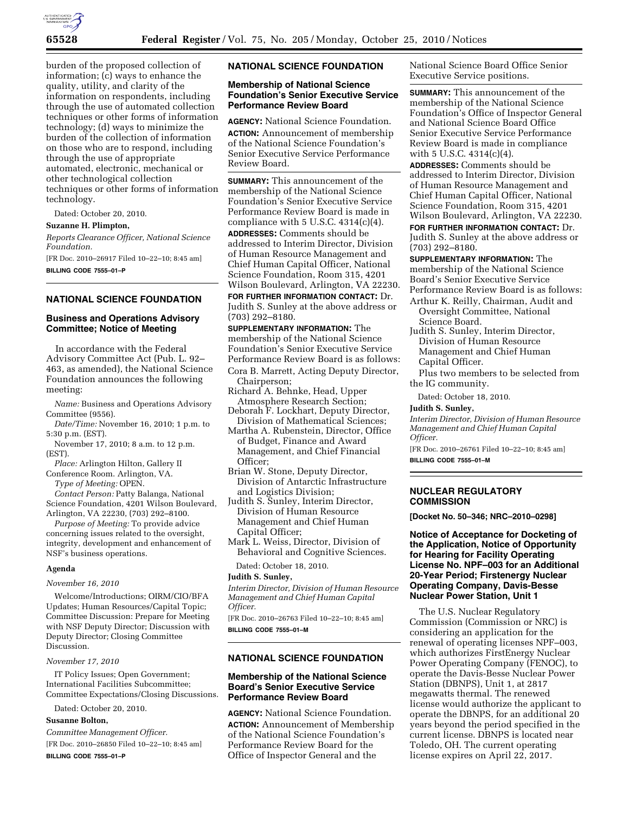

burden of the proposed collection of information; (c) ways to enhance the quality, utility, and clarity of the information on respondents, including through the use of automated collection techniques or other forms of information technology; (d) ways to minimize the burden of the collection of information on those who are to respond, including through the use of appropriate automated, electronic, mechanical or other technological collection techniques or other forms of information technology.

Dated: October 20, 2010.

## **Suzanne H. Plimpton,**

*Reports Clearance Officer, National Science Foundation.* 

[FR Doc. 2010–26917 Filed 10–22–10; 8:45 am] **BILLING CODE 7555–01–P** 

# **NATIONAL SCIENCE FOUNDATION**

## **Business and Operations Advisory Committee; Notice of Meeting**

In accordance with the Federal Advisory Committee Act (Pub. L. 92– 463, as amended), the National Science Foundation announces the following meeting:

*Name:* Business and Operations Advisory Committee (9556).

*Date/Time:* November 16, 2010; 1 p.m. to 5:30 p.m. (EST).

- November 17, 2010; 8 a.m. to 12 p.m. (EST).
- *Place:* Arlington Hilton, Gallery II Conference Room. Arlington, VA.
- *Type of Meeting:* OPEN.

*Contact Person:* Patty Balanga, National Science Foundation, 4201 Wilson Boulevard,

Arlington, VA 22230, (703) 292–8100. *Purpose of Meeting:* To provide advice concerning issues related to the oversight, integrity, development and enhancement of NSF's business operations.

#### **Agenda**

#### *November 16, 2010*

Welcome/Introductions; OIRM/CIO/BFA Updates; Human Resources/Capital Topic; Committee Discussion: Prepare for Meeting with NSF Deputy Director; Discussion with Deputy Director; Closing Committee Discussion.

#### *November 17, 2010*

IT Policy Issues; Open Government; International Facilities Subcommittee; Committee Expectations/Closing Discussions.

Dated: October 20, 2010.

#### **Susanne Bolton,**

*Committee Management Officer.*  [FR Doc. 2010–26850 Filed 10–22–10; 8:45 am] **BILLING CODE 7555–01–P** 

## **NATIONAL SCIENCE FOUNDATION**

#### **Membership of National Science Foundation's Senior Executive Service Performance Review Board**

**AGENCY:** National Science Foundation. **ACTION:** Announcement of membership of the National Science Foundation's Senior Executive Service Performance Review Board.

**SUMMARY:** This announcement of the membership of the National Science Foundation's Senior Executive Service Performance Review Board is made in compliance with  $5$  U.S.C.  $4314(c)(4)$ .

**ADDRESSES:** Comments should be addressed to Interim Director, Division of Human Resource Management and Chief Human Capital Officer, National Science Foundation, Room 315, 4201 Wilson Boulevard, Arlington, VA 22230.

**FOR FURTHER INFORMATION CONTACT:** Dr. Judith S. Sunley at the above address or (703) 292–8180.

**SUPPLEMENTARY INFORMATION:** The membership of the National Science Foundation's Senior Executive Service Performance Review Board is as follows:

Cora B. Marrett, Acting Deputy Director, Chairperson; Richard A. Behnke, Head, Upper

Atmosphere Research Section;

- Deborah F. Lockhart, Deputy Director, Division of Mathematical Sciences;
- Martha A. Rubenstein, Director, Office of Budget, Finance and Award Management, and Chief Financial Officer;
- Brian W. Stone, Deputy Director, Division of Antarctic Infrastructure and Logistics Division;
- Judith S. Sunley, Interim Director, Division of Human Resource Management and Chief Human Capital Officer;
- Mark L. Weiss, Director, Division of Behavioral and Cognitive Sciences.

Dated: October 18, 2010.

# **Judith S. Sunley,**

*Interim Director, Division of Human Resource Management and Chief Human Capital Officer.* 

[FR Doc. 2010–26763 Filed 10–22–10; 8:45 am] **BILLING CODE 7555–01–M** 

# **NATIONAL SCIENCE FOUNDATION**

### **Membership of the National Science Board's Senior Executive Service Performance Review Board**

**AGENCY:** National Science Foundation. **ACTION:** Announcement of Membership of the National Science Foundation's Performance Review Board for the Office of Inspector General and the

National Science Board Office Senior Executive Service positions.

**SUMMARY:** This announcement of the membership of the National Science Foundation's Office of Inspector General and National Science Board Office Senior Executive Service Performance Review Board is made in compliance with 5 U.S.C. 4314(c)(4).

**ADDRESSES:** Comments should be addressed to Interim Director, Division of Human Resource Management and Chief Human Capital Officer, National Science Foundation, Room 315, 4201 Wilson Boulevard, Arlington, VA 22230.

**FOR FURTHER INFORMATION CONTACT:** Dr. Judith S. Sunley at the above address or (703) 292–8180.

**SUPPLEMENTARY INFORMATION:** The membership of the National Science Board's Senior Executive Service Performance Review Board is as follows:

Arthur K. Reilly, Chairman, Audit and Oversight Committee, National Science Board.

Judith S. Sunley, Interim Director, Division of Human Resource Management and Chief Human Capital Officer.

Plus two members to be selected from the IG community.

Dated: October 18, 2010.

#### **Judith S. Sunley,**

*Interim Director, Division of Human Resource Management and Chief Human Capital Officer.* 

[FR Doc. 2010–26761 Filed 10–22–10; 8:45 am] **BILLING CODE 7555–01–M** 

## **NUCLEAR REGULATORY COMMISSION**

**[Docket No. 50–346; NRC–2010–0298]** 

**Notice of Acceptance for Docketing of the Application, Notice of Opportunity for Hearing for Facility Operating License No. NPF–003 for an Additional 20-Year Period; Firstenergy Nuclear Operating Company, Davis-Besse Nuclear Power Station, Unit 1** 

The U.S. Nuclear Regulatory Commission (Commission or NRC) is considering an application for the renewal of operating licenses NPF–003, which authorizes FirstEnergy Nuclear Power Operating Company (FENOC), to operate the Davis-Besse Nuclear Power Station (DBNPS), Unit 1, at 2817 megawatts thermal. The renewed license would authorize the applicant to operate the DBNPS, for an additional 20 years beyond the period specified in the current license. DBNPS is located near Toledo, OH. The current operating license expires on April 22, 2017.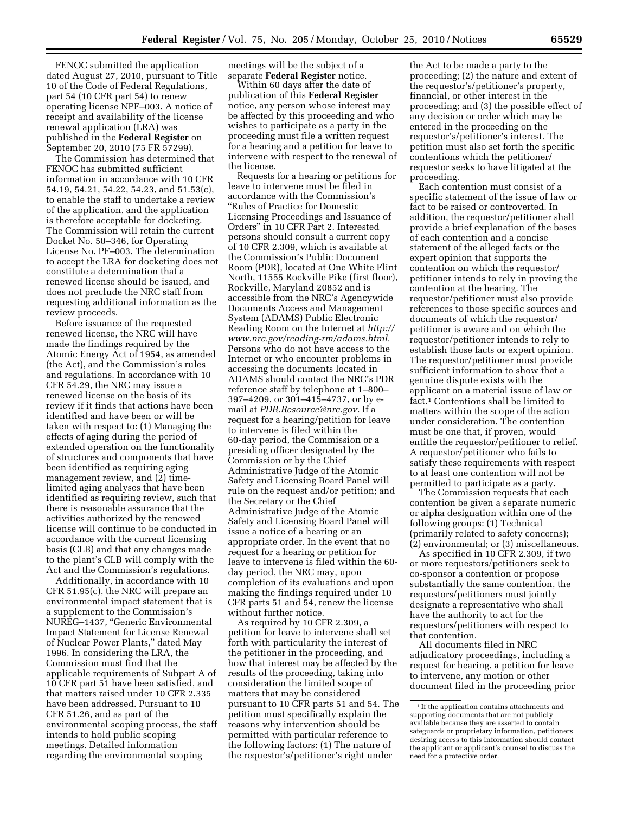FENOC submitted the application dated August 27, 2010, pursuant to Title 10 of the Code of Federal Regulations, part 54 (10 CFR part 54) to renew operating license NPF–003. A notice of receipt and availability of the license renewal application (LRA) was published in the **Federal Register** on September 20, 2010 (75 FR 57299).

The Commission has determined that FENOC has submitted sufficient information in accordance with 10 CFR 54.19, 54.21, 54.22, 54.23, and 51.53(c), to enable the staff to undertake a review of the application, and the application is therefore acceptable for docketing. The Commission will retain the current Docket No. 50–346, for Operating License No. PF–003. The determination to accept the LRA for docketing does not constitute a determination that a renewed license should be issued, and does not preclude the NRC staff from requesting additional information as the review proceeds.

Before issuance of the requested renewed license, the NRC will have made the findings required by the Atomic Energy Act of 1954, as amended (the Act), and the Commission's rules and regulations. In accordance with 10 CFR 54.29, the NRC may issue a renewed license on the basis of its review if it finds that actions have been identified and have been or will be taken with respect to: (1) Managing the effects of aging during the period of extended operation on the functionality of structures and components that have been identified as requiring aging management review, and (2) timelimited aging analyses that have been identified as requiring review, such that there is reasonable assurance that the activities authorized by the renewed license will continue to be conducted in accordance with the current licensing basis (CLB) and that any changes made to the plant's CLB will comply with the Act and the Commission's regulations.

Additionally, in accordance with 10 CFR 51.95(c), the NRC will prepare an environmental impact statement that is a supplement to the Commission's NUREG–1437, ''Generic Environmental Impact Statement for License Renewal of Nuclear Power Plants,'' dated May 1996. In considering the LRA, the Commission must find that the applicable requirements of Subpart A of 10 CFR part 51 have been satisfied, and that matters raised under 10 CFR 2.335 have been addressed. Pursuant to 10 CFR 51.26, and as part of the environmental scoping process, the staff intends to hold public scoping meetings. Detailed information regarding the environmental scoping

meetings will be the subject of a separate **Federal Register** notice.

Within 60 days after the date of publication of this **Federal Register**  notice, any person whose interest may be affected by this proceeding and who wishes to participate as a party in the proceeding must file a written request for a hearing and a petition for leave to intervene with respect to the renewal of the license.

Requests for a hearing or petitions for leave to intervene must be filed in accordance with the Commission's ''Rules of Practice for Domestic Licensing Proceedings and Issuance of Orders'' in 10 CFR Part 2. Interested persons should consult a current copy of 10 CFR 2.309, which is available at the Commission's Public Document Room (PDR), located at One White Flint North, 11555 Rockville Pike (first floor), Rockville, Maryland 20852 and is accessible from the NRC's Agencywide Documents Access and Management System (ADAMS) Public Electronic Reading Room on the Internet at *[http://](http://www.nrc.gov/reading-rm/adams.html) [www.nrc.gov/reading-rm/adams.html.](http://www.nrc.gov/reading-rm/adams.html)*  Persons who do not have access to the Internet or who encounter problems in accessing the documents located in ADAMS should contact the NRC's PDR reference staff by telephone at 1–800– 397–4209, or 301–415–4737, or by email at *[PDR.Resource@nrc.gov.](mailto:PDR.Resource@nrc.gov)* If a request for a hearing/petition for leave to intervene is filed within the 60-day period, the Commission or a presiding officer designated by the Commission or by the Chief Administrative Judge of the Atomic Safety and Licensing Board Panel will rule on the request and/or petition; and the Secretary or the Chief Administrative Judge of the Atomic Safety and Licensing Board Panel will issue a notice of a hearing or an appropriate order. In the event that no request for a hearing or petition for leave to intervene is filed within the 60 day period, the NRC may, upon completion of its evaluations and upon making the findings required under 10 CFR parts 51 and 54, renew the license without further notice.

As required by 10 CFR 2.309, a petition for leave to intervene shall set forth with particularity the interest of the petitioner in the proceeding, and how that interest may be affected by the results of the proceeding, taking into consideration the limited scope of matters that may be considered pursuant to 10 CFR parts 51 and 54. The petition must specifically explain the reasons why intervention should be permitted with particular reference to the following factors: (1) The nature of the requestor's/petitioner's right under

the Act to be made a party to the proceeding; (2) the nature and extent of the requestor's/petitioner's property, financial, or other interest in the proceeding; and (3) the possible effect of any decision or order which may be entered in the proceeding on the requestor's/petitioner's interest. The petition must also set forth the specific contentions which the petitioner/ requestor seeks to have litigated at the proceeding.

Each contention must consist of a specific statement of the issue of law or fact to be raised or controverted. In addition, the requestor/petitioner shall provide a brief explanation of the bases of each contention and a concise statement of the alleged facts or the expert opinion that supports the contention on which the requestor/ petitioner intends to rely in proving the contention at the hearing. The requestor/petitioner must also provide references to those specific sources and documents of which the requestor/ petitioner is aware and on which the requestor/petitioner intends to rely to establish those facts or expert opinion. The requestor/petitioner must provide sufficient information to show that a genuine dispute exists with the applicant on a material issue of law or fact.1 Contentions shall be limited to matters within the scope of the action under consideration. The contention must be one that, if proven, would entitle the requestor/petitioner to relief. A requestor/petitioner who fails to satisfy these requirements with respect to at least one contention will not be permitted to participate as a party.

The Commission requests that each contention be given a separate numeric or alpha designation within one of the following groups: (1) Technical (primarily related to safety concerns); (2) environmental; or (3) miscellaneous.

As specified in 10 CFR 2.309, if two or more requestors/petitioners seek to co-sponsor a contention or propose substantially the same contention, the requestors/petitioners must jointly designate a representative who shall have the authority to act for the requestors/petitioners with respect to that contention.

All documents filed in NRC adjudicatory proceedings, including a request for hearing, a petition for leave to intervene, any motion or other document filed in the proceeding prior

<sup>1</sup> If the application contains attachments and supporting documents that are not publicly available because they are asserted to contain safeguards or proprietary information, petitioners desiring access to this information should contact the applicant or applicant's counsel to discuss the need for a protective order.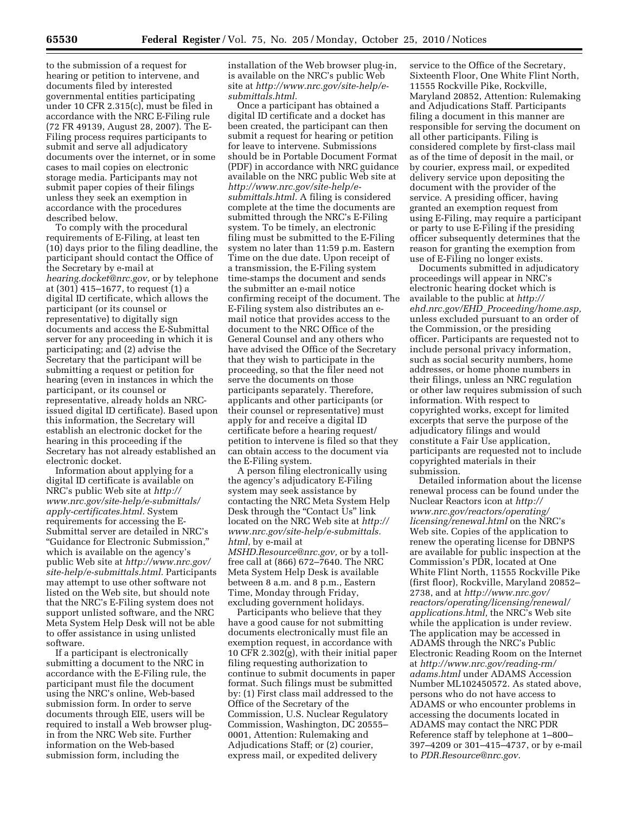to the submission of a request for hearing or petition to intervene, and documents filed by interested governmental entities participating under 10 CFR 2.315(c), must be filed in accordance with the NRC E-Filing rule (72 FR 49139, August 28, 2007). The E-Filing process requires participants to submit and serve all adjudicatory documents over the internet, or in some cases to mail copies on electronic storage media. Participants may not submit paper copies of their filings unless they seek an exemption in accordance with the procedures described below.

To comply with the procedural requirements of E-Filing, at least ten (10) days prior to the filing deadline, the participant should contact the Office of the Secretary by e-mail at *[hearing.docket@nrc.gov,](mailto:hearing.docket@nrc.gov)* or by telephone at (301) 415–1677, to request (1) a digital ID certificate, which allows the participant (or its counsel or representative) to digitally sign documents and access the E-Submittal server for any proceeding in which it is participating; and (2) advise the Secretary that the participant will be submitting a request or petition for hearing (even in instances in which the participant, or its counsel or representative, already holds an NRCissued digital ID certificate). Based upon this information, the Secretary will establish an electronic docket for the hearing in this proceeding if the Secretary has not already established an electronic docket.

Information about applying for a digital ID certificate is available on NRC's public Web site at *[http://](http://www.nrc.gov/site-help/e-submittals/apply-certificates.html) [www.nrc.gov/site-help/e-submittals/](http://www.nrc.gov/site-help/e-submittals/apply-certificates.html) [apply-certificates.html.](http://www.nrc.gov/site-help/e-submittals/apply-certificates.html)* System requirements for accessing the E-Submittal server are detailed in NRC's ''Guidance for Electronic Submission,'' which is available on the agency's public Web site at *[http://www.nrc.gov/](http://www.nrc.gov/site-help/e-submittals.html) [site-help/e-submittals.html.](http://www.nrc.gov/site-help/e-submittals.html)* Participants may attempt to use other software not listed on the Web site, but should note that the NRC's E-Filing system does not support unlisted software, and the NRC Meta System Help Desk will not be able to offer assistance in using unlisted software.

If a participant is electronically submitting a document to the NRC in accordance with the E-Filing rule, the participant must file the document using the NRC's online, Web-based submission form. In order to serve documents through EIE, users will be required to install a Web browser plugin from the NRC Web site. Further information on the Web-based submission form, including the

installation of the Web browser plug-in, is available on the NRC's public Web site at *[http://www.nrc.gov/site-help/e](http://www.nrc.gov/site-help/e-submittals.html)[submittals.html.](http://www.nrc.gov/site-help/e-submittals.html)* 

Once a participant has obtained a digital ID certificate and a docket has been created, the participant can then submit a request for hearing or petition for leave to intervene. Submissions should be in Portable Document Format (PDF) in accordance with NRC guidance available on the NRC public Web site at *[http://www.nrc.gov/site-help/e](http://www.nrc.gov/site-help/e-submittals.html)[submittals.html.](http://www.nrc.gov/site-help/e-submittals.html)* A filing is considered complete at the time the documents are submitted through the NRC's E-Filing system. To be timely, an electronic filing must be submitted to the E-Filing system no later than 11:59 p.m. Eastern Time on the due date. Upon receipt of a transmission, the E-Filing system time-stamps the document and sends the submitter an e-mail notice confirming receipt of the document. The E-Filing system also distributes an email notice that provides access to the document to the NRC Office of the General Counsel and any others who have advised the Office of the Secretary that they wish to participate in the proceeding, so that the filer need not serve the documents on those participants separately. Therefore, applicants and other participants (or their counsel or representative) must apply for and receive a digital ID certificate before a hearing request/ petition to intervene is filed so that they can obtain access to the document via the E-Filing system.

A person filing electronically using the agency's adjudicatory E-Filing system may seek assistance by contacting the NRC Meta System Help Desk through the "Contact Us" link located on the NRC Web site at *[http://](http://www.nrc.gov/site-help/e-submittals.html)  [www.nrc.gov/site-help/e-submittals.](http://www.nrc.gov/site-help/e-submittals.html) [html,](http://www.nrc.gov/site-help/e-submittals.html)* by e-mail at *[MSHD.Resource@nrc.gov,](mailto:MSHD.Resource@nrc.gov)* or by a tollfree call at (866) 672–7640. The NRC Meta System Help Desk is available between 8 a.m. and 8 p.m., Eastern Time, Monday through Friday, excluding government holidays.

Participants who believe that they have a good cause for not submitting documents electronically must file an exemption request, in accordance with 10 CFR 2.302(g), with their initial paper filing requesting authorization to continue to submit documents in paper format. Such filings must be submitted by: (1) First class mail addressed to the Office of the Secretary of the Commission, U.S. Nuclear Regulatory Commission, Washington, DC 20555– 0001, Attention: Rulemaking and Adjudications Staff; or (2) courier, express mail, or expedited delivery

service to the Office of the Secretary, Sixteenth Floor, One White Flint North, 11555 Rockville Pike, Rockville, Maryland 20852, Attention: Rulemaking and Adjudications Staff. Participants filing a document in this manner are responsible for serving the document on all other participants. Filing is considered complete by first-class mail as of the time of deposit in the mail, or by courier, express mail, or expedited delivery service upon depositing the document with the provider of the service. A presiding officer, having granted an exemption request from using E-Filing, may require a participant or party to use E-Filing if the presiding officer subsequently determines that the reason for granting the exemption from use of E-Filing no longer exists.

Documents submitted in adjudicatory proceedings will appear in NRC's electronic hearing docket which is available to the public at *[http://](http://ehd.nrc.gov/EHD_Proceeding/home.asp)  ehd.nrc.gov/EHD*\_*[Proceeding/home.asp,](http://ehd.nrc.gov/EHD_Proceeding/home.asp)*  unless excluded pursuant to an order of the Commission, or the presiding officer. Participants are requested not to include personal privacy information, such as social security numbers, home addresses, or home phone numbers in their filings, unless an NRC regulation or other law requires submission of such information. With respect to copyrighted works, except for limited excerpts that serve the purpose of the adjudicatory filings and would constitute a Fair Use application, participants are requested not to include copyrighted materials in their submission.

Detailed information about the license renewal process can be found under the Nuclear Reactors icon at *[http://](http://www.nrc.gov/reactors/operating/licensing/renewal.html) [www.nrc.gov/reactors/operating/](http://www.nrc.gov/reactors/operating/licensing/renewal.html) [licensing/renewal.html](http://www.nrc.gov/reactors/operating/licensing/renewal.html)* on the NRC's Web site. Copies of the application to renew the operating license for DBNPS are available for public inspection at the Commission's PDR, located at One White Flint North, 11555 Rockville Pike (first floor), Rockville, Maryland 20852– 2738, and at *[http://www.nrc.gov/](http://www.nrc.gov/reactors/operating/licensing/renewal/applications.html) [reactors/operating/licensing/renewal/](http://www.nrc.gov/reactors/operating/licensing/renewal/applications.html) [applications.html,](http://www.nrc.gov/reactors/operating/licensing/renewal/applications.html)* the NRC's Web site while the application is under review. The application may be accessed in ADAMS through the NRC's Public Electronic Reading Room on the Internet at *[http://www.nrc.gov/reading-rm/](http://www.nrc.gov/reading-rm/adams.html) [adams.html](http://www.nrc.gov/reading-rm/adams.html)* under ADAMS Accession Number ML102450572. As stated above, persons who do not have access to ADAMS or who encounter problems in accessing the documents located in ADAMS may contact the NRC PDR Reference staff by telephone at 1–800– 397–4209 or 301–415–4737, or by e-mail to *[PDR.Resource@nrc.gov.](mailto:PDR.Resource@nrc.gov)*